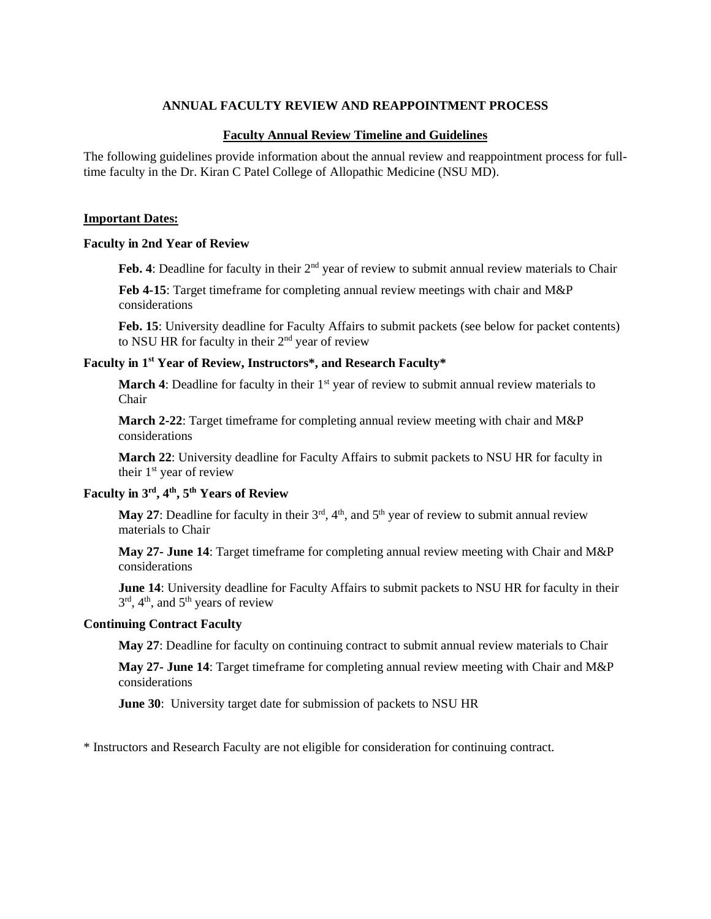### **ANNUAL FACULTY REVIEW AND REAPPOINTMENT PROCESS**

#### **Faculty Annual Review Timeline and Guidelines**

The following guidelines provide information about the annual review and reappointment process for fulltime faculty in the Dr. Kiran C Patel College of Allopathic Medicine (NSU MD).

#### **Important Dates:**

#### **Faculty in 2nd Year of Review**

Feb. 4: Deadline for faculty in their 2<sup>nd</sup> year of review to submit annual review materials to Chair

**Feb 4-15**: Target timeframe for completing annual review meetings with chair and M&P considerations

**Feb. 15**: University deadline for Faculty Affairs to submit packets (see below for packet contents) to NSU HR for faculty in their  $2<sup>nd</sup>$  year of review

# **Faculty in 1 st Year of Review, Instructors\*, and Research Faculty\***

**March** 4: Deadline for faculty in their 1<sup>st</sup> year of review to submit annual review materials to Chair

**March 2-22**: Target timeframe for completing annual review meeting with chair and M&P considerations

**March 22**: University deadline for Faculty Affairs to submit packets to NSU HR for faculty in their  $1<sup>st</sup>$  year of review

### **Faculty in 3 rd , 4 th , 5 th Years of Review**

**May 27:** Deadline for faculty in their  $3<sup>rd</sup>$ ,  $4<sup>th</sup>$ , and  $5<sup>th</sup>$  year of review to submit annual review materials to Chair

**May 27- June 14**: Target timeframe for completing annual review meeting with Chair and M&P considerations

**June 14**: University deadline for Faculty Affairs to submit packets to NSU HR for faculty in their 3<sup>rd</sup>, 4<sup>th</sup>, and 5<sup>th</sup> years of review

#### **Continuing Contract Faculty**

**May 27**: Deadline for faculty on continuing contract to submit annual review materials to Chair

**May 27- June 14**: Target timeframe for completing annual review meeting with Chair and M&P considerations

**June 30**: University target date for submission of packets to NSU HR

\* Instructors and Research Faculty are not eligible for consideration for continuing contract.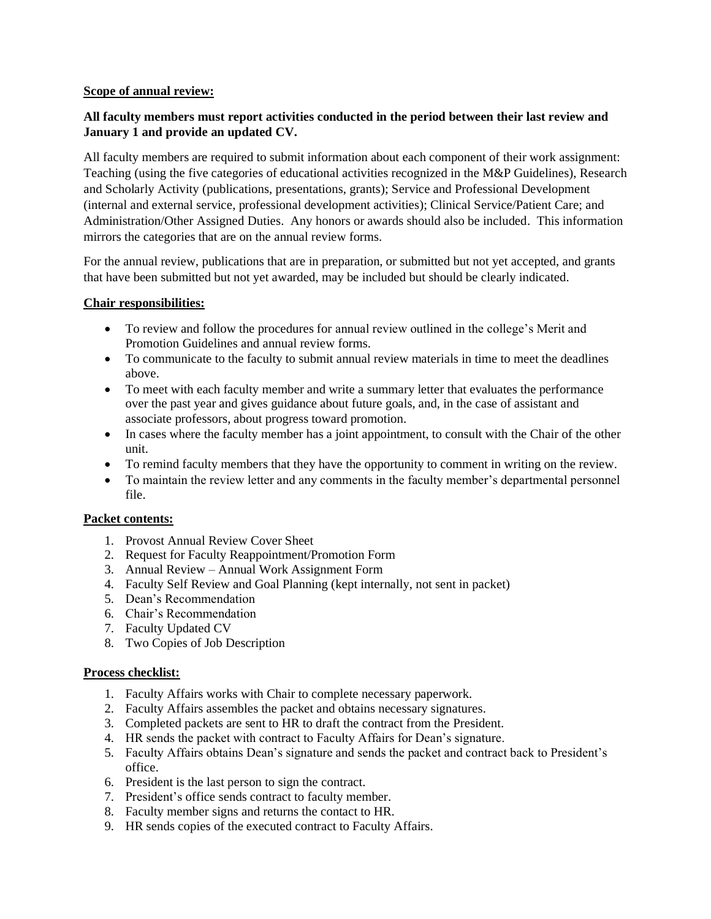#### **Scope of annual review:**

# **All faculty members must report activities conducted in the period between their last review and January 1 and provide an updated CV.**

All faculty members are required to submit information about each component of their work assignment: Teaching (using the five categories of educational activities recognized in the M&P Guidelines), Research and Scholarly Activity (publications, presentations, grants); Service and Professional Development (internal and external service, professional development activities); Clinical Service/Patient Care; and Administration/Other Assigned Duties. Any honors or awards should also be included. This information mirrors the categories that are on the annual review forms.

For the annual review, publications that are in preparation, or submitted but not yet accepted, and grants that have been submitted but not yet awarded, may be included but should be clearly indicated.

### **Chair responsibilities:**

- To review and follow the procedures for annual review outlined in the college's Merit and Promotion Guidelines and annual review forms.
- To communicate to the faculty to submit annual review materials in time to meet the deadlines above.
- To meet with each faculty member and write a summary letter that evaluates the performance over the past year and gives guidance about future goals, and, in the case of assistant and associate professors, about progress toward promotion.
- In cases where the faculty member has a joint appointment, to consult with the Chair of the other unit.
- To remind faculty members that they have the opportunity to comment in writing on the review.
- To maintain the review letter and any comments in the faculty member's departmental personnel file.

### **Packet contents:**

- 1. Provost Annual Review Cover Sheet
- 2. Request for Faculty Reappointment/Promotion Form
- 3. Annual Review Annual Work Assignment Form
- 4. Faculty Self Review and Goal Planning (kept internally, not sent in packet)
- 5. Dean's Recommendation
- 6. Chair's Recommendation
- 7. Faculty Updated CV
- 8. Two Copies of Job Description

### **Process checklist:**

- 1. Faculty Affairs works with Chair to complete necessary paperwork.
- 2. Faculty Affairs assembles the packet and obtains necessary signatures.
- 3. Completed packets are sent to HR to draft the contract from the President.
- 4. HR sends the packet with contract to Faculty Affairs for Dean's signature.
- 5. Faculty Affairs obtains Dean's signature and sends the packet and contract back to President's office.
- 6. President is the last person to sign the contract.
- 7. President's office sends contract to faculty member.
- 8. Faculty member signs and returns the contact to HR.
- 9. HR sends copies of the executed contract to Faculty Affairs.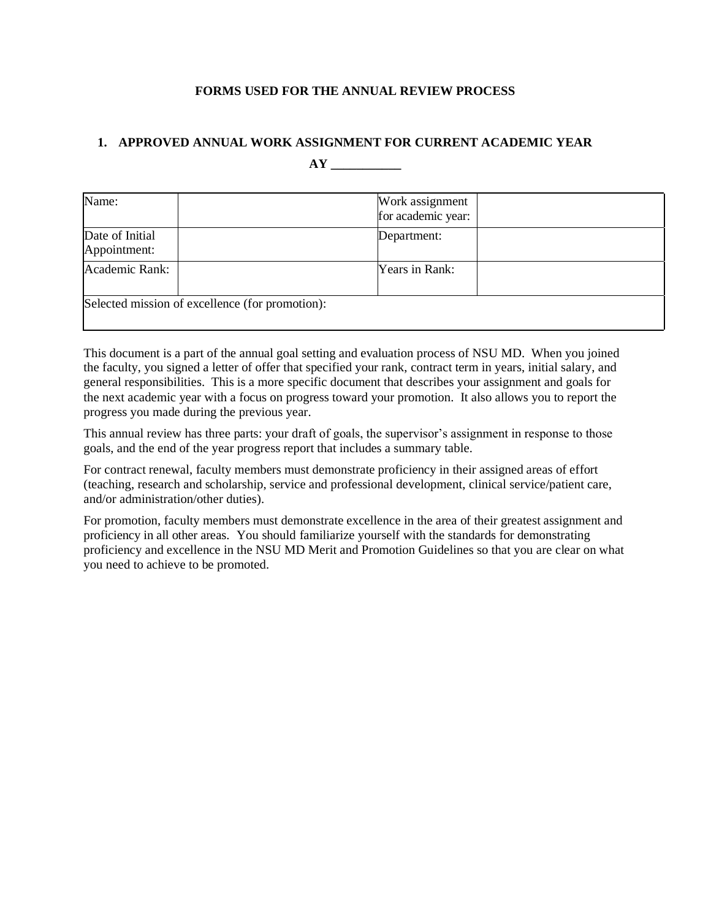### **FORMS USED FOR THE ANNUAL REVIEW PROCESS**

# **1. APPROVED ANNUAL WORK ASSIGNMENT FOR CURRENT ACADEMIC YEAR**

**AY \_\_\_\_\_\_\_\_\_\_\_**

| Name:                           |                                                 | Work assignment<br>for academic year: |  |
|---------------------------------|-------------------------------------------------|---------------------------------------|--|
| Date of Initial<br>Appointment: |                                                 | Department:                           |  |
| Academic Rank:                  |                                                 | Years in Rank:                        |  |
|                                 | Selected mission of excellence (for promotion): |                                       |  |

This document is a part of the annual goal setting and evaluation process of NSU MD. When you joined the faculty, you signed a letter of offer that specified your rank, contract term in years, initial salary, and general responsibilities. This is a more specific document that describes your assignment and goals for the next academic year with a focus on progress toward your promotion. It also allows you to report the progress you made during the previous year.

This annual review has three parts: your draft of goals, the supervisor's assignment in response to those goals, and the end of the year progress report that includes a summary table.

For contract renewal, faculty members must demonstrate proficiency in their assigned areas of effort (teaching, research and scholarship, service and professional development, clinical service/patient care, and/or administration/other duties).

For promotion, faculty members must demonstrate excellence in the area of their greatest assignment and proficiency in all other areas. You should familiarize yourself with the standards for demonstrating proficiency and excellence in the NSU MD Merit and Promotion Guidelines so that you are clear on what you need to achieve to be promoted.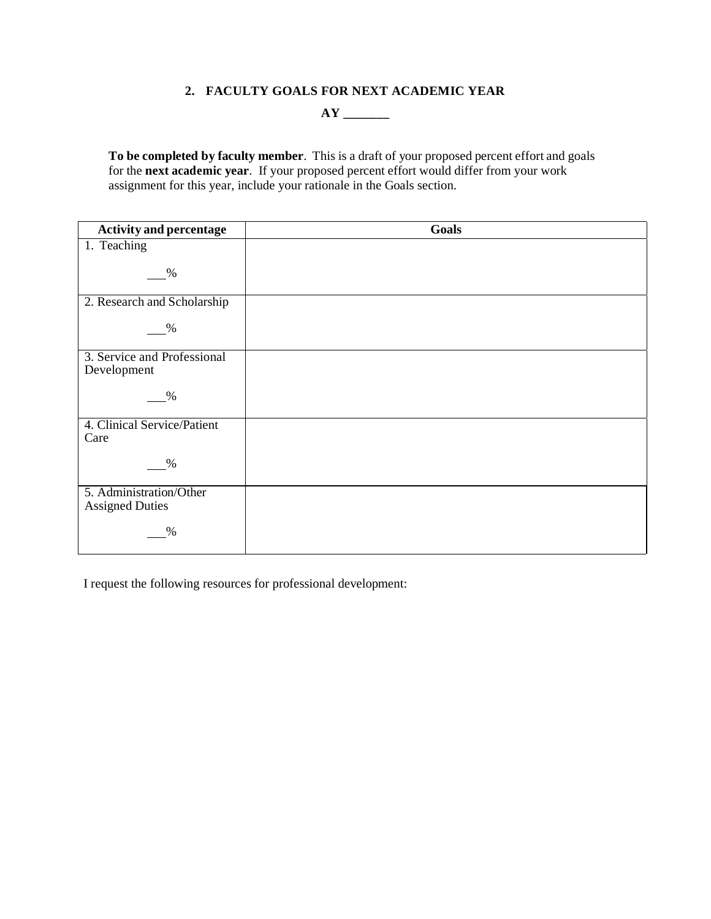# **2. FACULTY GOALS FOR NEXT ACADEMIC YEAR**

**AY \_\_\_\_\_\_\_**

**To be completed by faculty member**. This is a draft of your proposed percent effort and goals for the **next academic year**. If your proposed percent effort would differ from your work assignment for this year, include your rationale in the Goals section.

| <b>Activity and percentage</b>                    | <b>Goals</b> |
|---------------------------------------------------|--------------|
| 1. Teaching                                       |              |
| $\%$                                              |              |
| 2. Research and Scholarship                       |              |
| %                                                 |              |
| 3. Service and Professional<br>Development        |              |
| $\%$                                              |              |
| 4. Clinical Service/Patient<br>Care               |              |
| $\%$                                              |              |
| 5. Administration/Other<br><b>Assigned Duties</b> |              |
| $\%$                                              |              |

I request the following resources for professional development: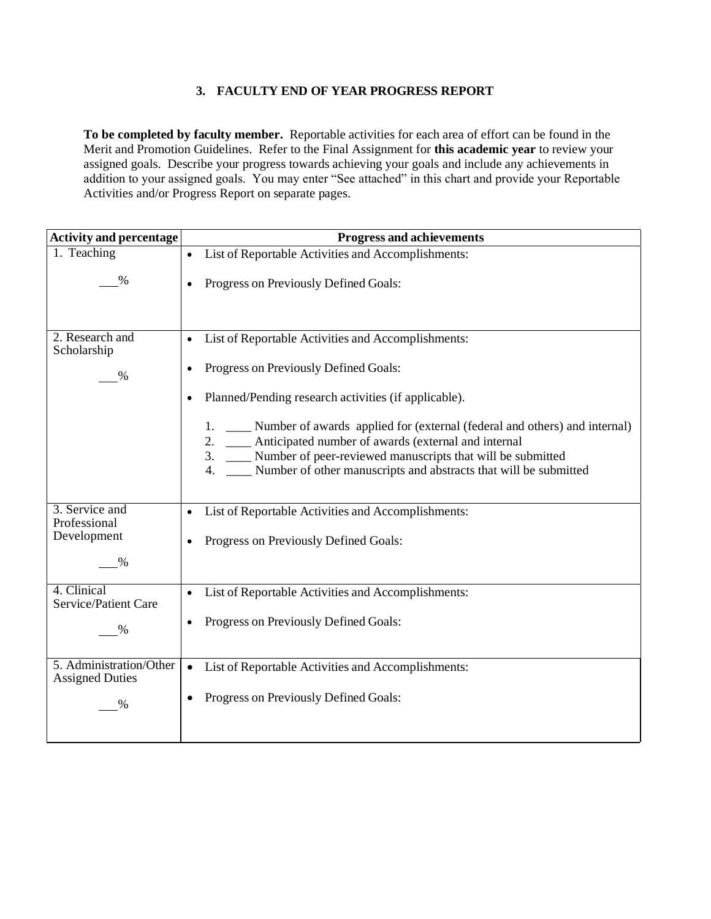# **3. FACULTY END OF YEAR PROGRESS REPORT**

**To be completed by faculty member.** Reportable activities for each area of effort can be found in the Merit and Promotion Guidelines. Refer to the Final Assignment for **this academic year** to review your assigned goals. Describe your progress towards achieving your goals and include any achievements in addition to your assigned goals. You may enter "See attached" in this chart and provide your Reportable Activities and/or Progress Report on separate pages.

| <b>Activity and percentage</b>                    | <b>Progress and achievements</b>                                                                                                                                                                                                                                                           |
|---------------------------------------------------|--------------------------------------------------------------------------------------------------------------------------------------------------------------------------------------------------------------------------------------------------------------------------------------------|
| 1. Teaching                                       | List of Reportable Activities and Accomplishments:                                                                                                                                                                                                                                         |
| $\%$                                              | Progress on Previously Defined Goals:                                                                                                                                                                                                                                                      |
| 2. Research and<br>Scholarship                    | List of Reportable Activities and Accomplishments:                                                                                                                                                                                                                                         |
| $\frac{0}{0}$                                     | Progress on Previously Defined Goals:                                                                                                                                                                                                                                                      |
|                                                   | Planned/Pending research activities (if applicable).<br>$\bullet$                                                                                                                                                                                                                          |
|                                                   | Number of awards applied for (external (federal and others) and internal)<br>1.<br>Anticipated number of awards (external and internal<br>2.<br>3.<br>Number of peer-reviewed manuscripts that will be submitted<br>Number of other manuscripts and abstracts that will be submitted<br>4. |
| 3. Service and<br>Professional                    | List of Reportable Activities and Accomplishments:                                                                                                                                                                                                                                         |
| Development<br>℅                                  | Progress on Previously Defined Goals:                                                                                                                                                                                                                                                      |
| 4. Clinical<br>Service/Patient Care               | List of Reportable Activities and Accomplishments:                                                                                                                                                                                                                                         |
| $\%$                                              | Progress on Previously Defined Goals:                                                                                                                                                                                                                                                      |
| 5. Administration/Other<br><b>Assigned Duties</b> | List of Reportable Activities and Accomplishments:                                                                                                                                                                                                                                         |
| %                                                 | Progress on Previously Defined Goals:                                                                                                                                                                                                                                                      |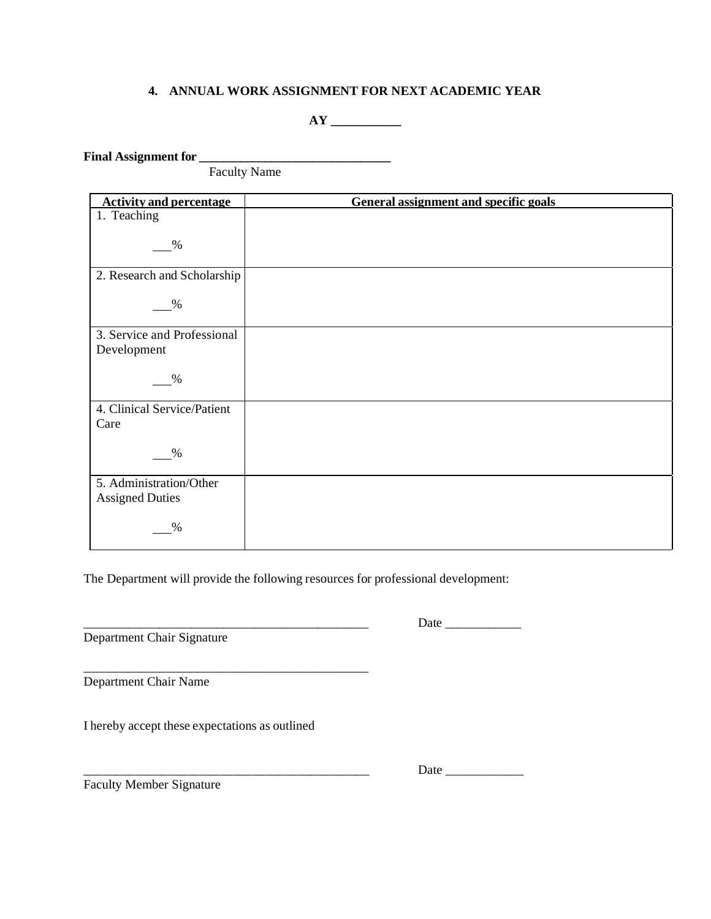# **4. ANNUAL WORK ASSIGNMENT FOR NEXT ACADEMIC YEAR**

# **AY \_\_\_\_\_\_\_\_\_\_\_**

**Final Assignment for \_\_\_\_\_\_\_\_\_\_\_\_\_\_\_\_\_\_\_\_\_\_\_\_\_\_\_\_\_\_\_\_**

Faculty Name

| <b>Activity and percentage</b>             | <b>General assignment and specific goals</b> |
|--------------------------------------------|----------------------------------------------|
| 1. Teaching                                |                                              |
| $\%$                                       |                                              |
| 2. Research and Scholarship                |                                              |
| $\%$                                       |                                              |
| 3. Service and Professional<br>Development |                                              |
| %                                          |                                              |
| 4. Clinical Service/Patient                |                                              |
| Care                                       |                                              |
| $\%$                                       |                                              |
| 5. Administration/Other                    |                                              |
| <b>Assigned Duties</b>                     |                                              |
| %                                          |                                              |

The Department will provide the following resources for professional development:

 $\overline{\phantom{a}}$  , and the set of the set of the set of the set of the set of the set of the set of the set of the set of the set of the set of the set of the set of the set of the set of the set of the set of the set of the s

Department Chair Signature

\_\_\_\_\_\_\_\_\_\_\_\_\_\_\_\_\_\_\_\_\_\_\_\_\_\_\_\_\_\_\_\_\_\_\_\_\_\_\_\_\_\_\_\_\_ Date \_\_\_\_\_\_\_\_\_\_\_\_

Department Chair Name

I hereby accept these expectations as outlined

Faculty Member Signature

\_\_\_\_\_\_\_\_\_\_\_\_\_\_\_\_\_\_\_\_\_\_\_\_\_\_\_\_\_\_\_\_\_\_\_\_\_\_\_\_\_\_\_\_ Date \_\_\_\_\_\_\_\_\_\_\_\_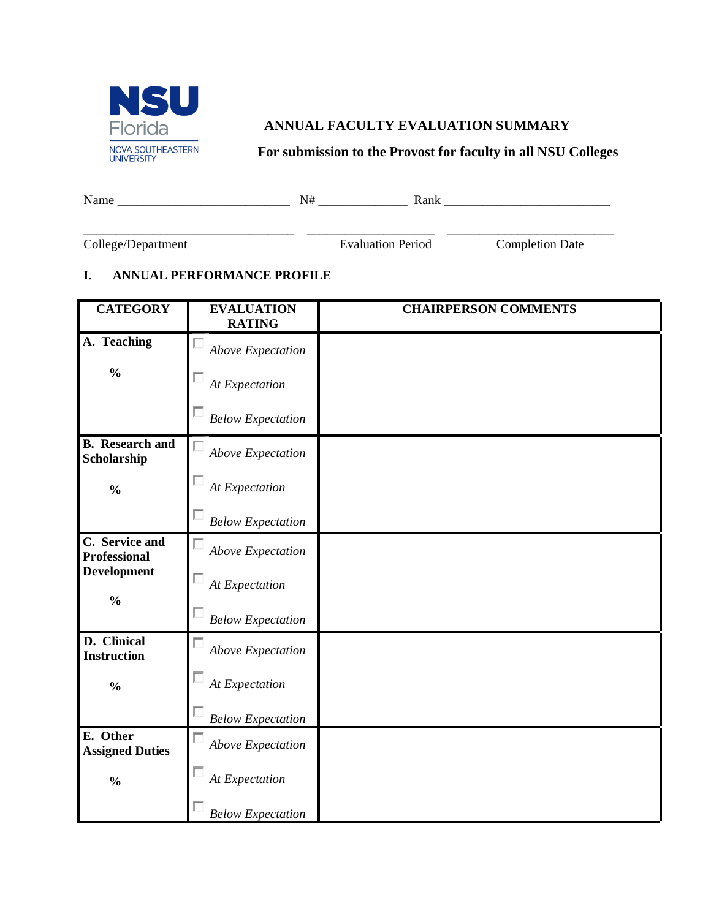

# **ANNUAL FACULTY EVALUATION SUMMARY**

**For submission to the Provost for faculty in all NSU Colleges**

| Name | $\mathbf{N}$ $\mathbf{H}$<br>N<br>T | Rank<br>Adlif |
|------|-------------------------------------|---------------|
|      |                                     |               |

College/Department Evaluation Period Completion Date

# **I. ANNUAL PERFORMANCE PROFILE**

| <b>CATEGORY</b>                       | <b>EVALUATION</b><br><b>RATING</b> | <b>CHAIRPERSON COMMENTS</b> |
|---------------------------------------|------------------------------------|-----------------------------|
| A. Teaching                           | <b>Above Expectation</b>           |                             |
| $\frac{0}{0}$                         | At Expectation                     |                             |
|                                       | <b>Below Expectation</b>           |                             |
| <b>B.</b> Research and<br>Scholarship | <b>Above Expectation</b>           |                             |
| $\frac{0}{0}$                         | At Expectation                     |                             |
|                                       | <b>Below Expectation</b>           |                             |
| C. Service and<br><b>Professional</b> | <b>Above Expectation</b>           |                             |
| <b>Development</b><br>$\frac{0}{0}$   | At Expectation                     |                             |
|                                       | <b>Below Expectation</b>           |                             |
| D. Clinical<br><b>Instruction</b>     | Above Expectation                  |                             |
| $\frac{0}{0}$                         | At Expectation                     |                             |
|                                       | <b>Below Expectation</b>           |                             |
| E. Other<br><b>Assigned Duties</b>    | Above Expectation                  |                             |
| $\frac{0}{0}$                         | At Expectation                     |                             |
|                                       | <b>Below Expectation</b>           |                             |